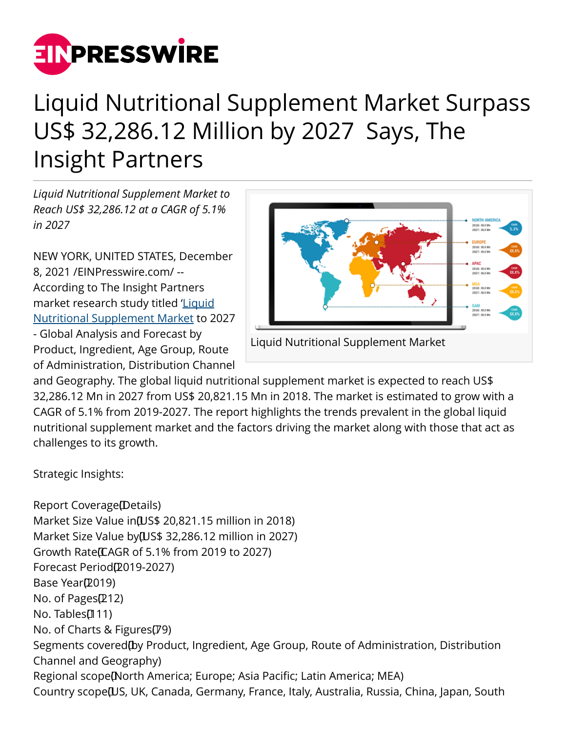

## Liquid Nutritional Supplement Market Surpass US\$ 32,286.12 Million by 2027 Says, The Insight Partners

*Liquid Nutritional Supplement Market to Reach US\$ 32,286.12 at a CAGR of 5.1% in 2027*

NEW YORK, UNITED STATES, December 8, 2021 /[EINPresswire.com/](http://www.einpresswire.com) -- According to The Insight Partners market research study titled '[Liquid](https://www.theinsightpartners.com/reports/liquid-nutritional-supplement-market) [Nutritional Supplement Market](https://www.theinsightpartners.com/reports/liquid-nutritional-supplement-market) to 2027 - Global Analysis and Forecast by Product, Ingredient, Age Group, Route of Administration, Distribution Channel



Liquid Nutritional Supplement Market

and Geography. The global liquid nutritional supplement market is expected to reach US\$ 32,286.12 Mn in 2027 from US\$ 20,821.15 Mn in 2018. The market is estimated to grow with a CAGR of 5.1% from 2019-2027. The report highlights the trends prevalent in the global liquid nutritional supplement market and the factors driving the market along with those that act as challenges to its growth.

Strategic Insights:

Report Coverage (Details) Market Size Value in [US\$ 20,821.15 million in 2018) Market Size Value by [US\$ 32,286.12 million in 2027) Growth Rate (CAGR of 5.1% from 2019 to 2027) Forecast Period<sub>(2019-2027)</sub> Base Year(2019) No. of Pages $(212)$ No. Tables<sup>[111]</sup> No. of Charts & Figures $(79)$ Segments covered (by Product, Ingredient, Age Group, Route of Administration, Distribution Channel and Geography) Regional scope [North America; Europe; Asia Pacific; Latin America; MEA) Country scope [US, UK, Canada, Germany, France, Italy, Australia, Russia, China, Japan, South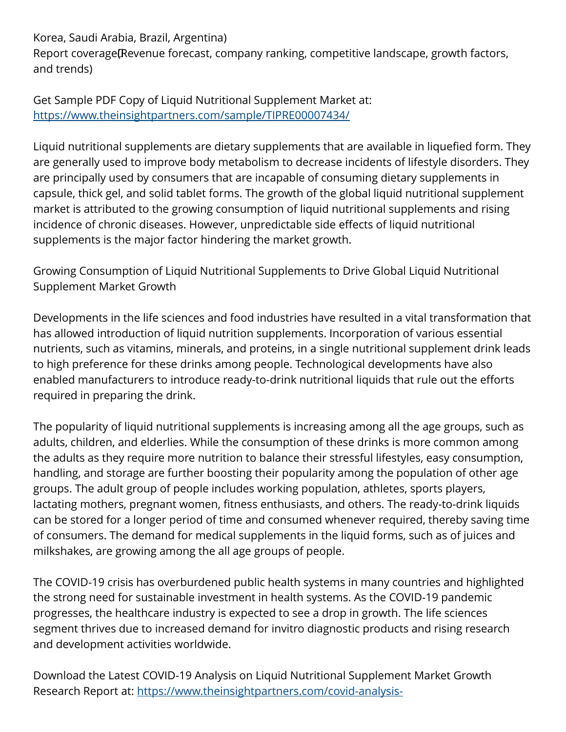Korea, Saudi Arabia, Brazil, Argentina)

Report coverage (Revenue forecast, company ranking, competitive landscape, growth factors, and trends)

Get Sample PDF Copy of Liquid Nutritional Supplement Market at: [https://www.theinsightpartners.com/sample/TIPRE00007434/](https://www.theinsightpartners.com/sample/TIPRE00007434/?utm_source=EINPressWire&utm_medium=10144)

Liquid nutritional supplements are dietary supplements that are available in liquefied form. They are generally used to improve body metabolism to decrease incidents of lifestyle disorders. They are principally used by consumers that are incapable of consuming dietary supplements in capsule, thick gel, and solid tablet forms. The growth of the global liquid nutritional supplement market is attributed to the growing consumption of liquid nutritional supplements and rising incidence of chronic diseases. However, unpredictable side effects of liquid nutritional supplements is the major factor hindering the market growth.

Growing Consumption of Liquid Nutritional Supplements to Drive Global Liquid Nutritional Supplement Market Growth

Developments in the life sciences and food industries have resulted in a vital transformation that has allowed introduction of liquid nutrition supplements. Incorporation of various essential nutrients, such as vitamins, minerals, and proteins, in a single nutritional supplement drink leads to high preference for these drinks among people. Technological developments have also enabled manufacturers to introduce ready-to-drink nutritional liquids that rule out the efforts required in preparing the drink.

The popularity of liquid nutritional supplements is increasing among all the age groups, such as adults, children, and elderlies. While the consumption of these drinks is more common among the adults as they require more nutrition to balance their stressful lifestyles, easy consumption, handling, and storage are further boosting their popularity among the population of other age groups. The adult group of people includes working population, athletes, sports players, lactating mothers, pregnant women, fitness enthusiasts, and others. The ready-to-drink liquids can be stored for a longer period of time and consumed whenever required, thereby saving time of consumers. The demand for medical supplements in the liquid forms, such as of juices and milkshakes, are growing among the all age groups of people.

The COVID-19 crisis has overburdened public health systems in many countries and highlighted the strong need for sustainable investment in health systems. As the COVID-19 pandemic progresses, the healthcare industry is expected to see a drop in growth. The life sciences segment thrives due to increased demand for invitro diagnostic products and rising research and development activities worldwide.

Download the Latest COVID-19 Analysis on Liquid Nutritional Supplement Market Growth Research Report at: [https://www.theinsightpartners.com/covid-analysis-](https://www.theinsightpartners.com/covid-analysis-sample/TIPRE00007434?utm_source=EINPressWire&utm_medium=10144)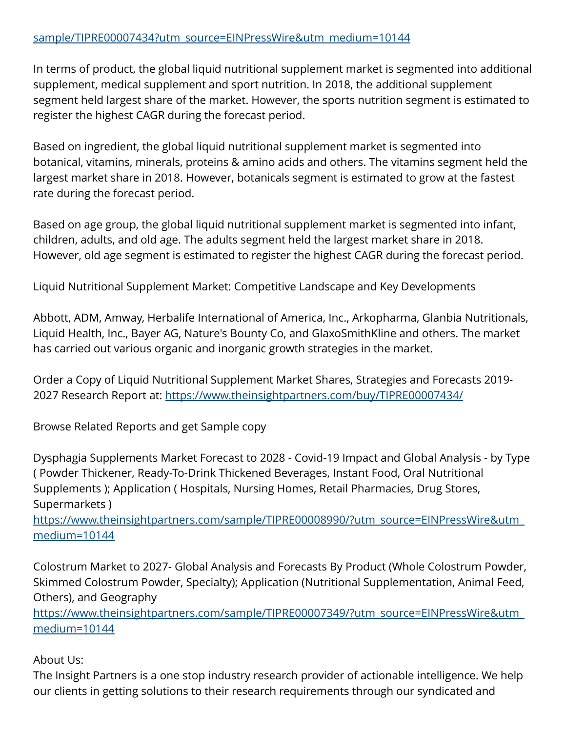## [sample/TIPRE00007434?utm\\_source=EINPressWire&utm\\_medium=10144](https://www.theinsightpartners.com/covid-analysis-sample/TIPRE00007434?utm_source=EINPressWire&utm_medium=10144)

In terms of product, the global liquid nutritional supplement market is segmented into additional supplement, medical supplement and sport nutrition. In 2018, the additional supplement segment held largest share of the market. However, the sports nutrition segment is estimated to register the highest CAGR during the forecast period.

Based on ingredient, the global liquid nutritional supplement market is segmented into botanical, vitamins, minerals, proteins & amino acids and others. The vitamins segment held the largest market share in 2018. However, botanicals segment is estimated to grow at the fastest rate during the forecast period.

Based on age group, the global liquid nutritional supplement market is segmented into infant, children, adults, and old age. The adults segment held the largest market share in 2018. However, old age segment is estimated to register the highest CAGR during the forecast period.

Liquid Nutritional Supplement Market: Competitive Landscape and Key Developments

Abbott, ADM, Amway, Herbalife International of America, Inc., Arkopharma, Glanbia Nutritionals, Liquid Health, Inc., Bayer AG, Nature's Bounty Co, and GlaxoSmithKline and others. The market has carried out various organic and inorganic growth strategies in the market.

Order a Copy of Liquid Nutritional Supplement Market Shares, Strategies and Forecasts 2019- 2027 Research Report at: [https://www.theinsightpartners.com/buy/TIPRE00007434/](https://www.theinsightpartners.com/buy/TIPRE00007434/?utm_source=EINPressWire&utm_medium=10144)

Browse Related Reports and get Sample copy

Dysphagia Supplements Market Forecast to 2028 - Covid-19 Impact and Global Analysis - by Type ( Powder Thickener, Ready-To-Drink Thickened Beverages, Instant Food, Oral Nutritional Supplements ); Application ( Hospitals, Nursing Homes, Retail Pharmacies, Drug Stores, Supermarkets )

[https://www.theinsightpartners.com/sample/TIPRE00008990/?utm\\_source=EINPressWire&utm\\_](https://www.theinsightpartners.com/sample/TIPRE00008990/?utm_source=EINPressWire&utm_medium=10144) [medium=10144](https://www.theinsightpartners.com/sample/TIPRE00008990/?utm_source=EINPressWire&utm_medium=10144)

Colostrum Market to 2027- Global Analysis and Forecasts By Product (Whole Colostrum Powder, Skimmed Colostrum Powder, Specialty); Application (Nutritional Supplementation, Animal Feed, Others), and Geography

[https://www.theinsightpartners.com/sample/TIPRE00007349/?utm\\_source=EINPressWire&utm\\_](https://www.theinsightpartners.com/sample/TIPRE00007349/?utm_source=EINPressWire&utm_medium=10144) [medium=10144](https://www.theinsightpartners.com/sample/TIPRE00007349/?utm_source=EINPressWire&utm_medium=10144)

About Us:

The Insight Partners is a one stop industry research provider of actionable intelligence. We help our clients in getting solutions to their research requirements through our syndicated and